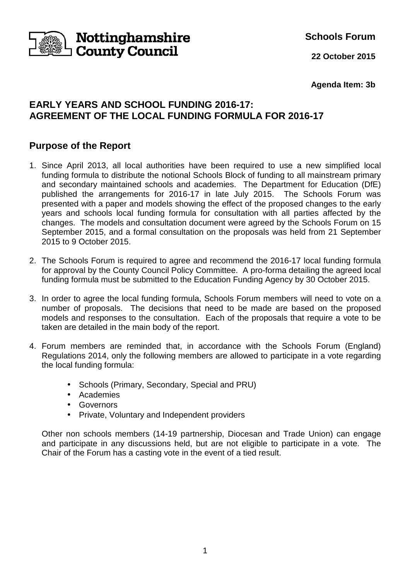

**Schools Forum**

**22 October 2015**

**Agenda Item: 3b**

# **EARLY YEARS AND SCHOOL FUNDING 2016-17: AGREEMENT OF THE LOCAL FUNDING FORMULA FOR 2016-17**

# **Purpose of the Report**

- 1. Since April 2013, all local authorities have been required to use a new simplified local funding formula to distribute the notional Schools Block of funding to all mainstream primary and secondary maintained schools and academies. The Department for Education (DfE) published the arrangements for 2016-17 in late July 2015. The Schools Forum was presented with a paper and models showing the effect of the proposed changes to the early years and schools local funding formula for consultation with all parties affected by the changes. The models and consultation document were agreed by the Schools Forum on 15 September 2015, and a formal consultation on the proposals was held from 21 September 2015 to 9 October 2015.
- 2. The Schools Forum is required to agree and recommend the 2016-17 local funding formula for approval by the County Council Policy Committee. A pro-forma detailing the agreed local funding formula must be submitted to the Education Funding Agency by 30 October 2015.
- 3. In order to agree the local funding formula, Schools Forum members will need to vote on a number of proposals. The decisions that need to be made are based on the proposed models and responses to the consultation. Each of the proposals that require a vote to be taken are detailed in the main body of the report.
- 4. Forum members are reminded that, in accordance with the Schools Forum (England) Regulations 2014, only the following members are allowed to participate in a vote regarding the local funding formula:
	- Schools (Primary, Secondary, Special and PRU)
	- Academies
	- Governors
	- Private, Voluntary and Independent providers

 Other non schools members (14-19 partnership, Diocesan and Trade Union) can engage and participate in any discussions held, but are not eligible to participate in a vote. The Chair of the Forum has a casting vote in the event of a tied result.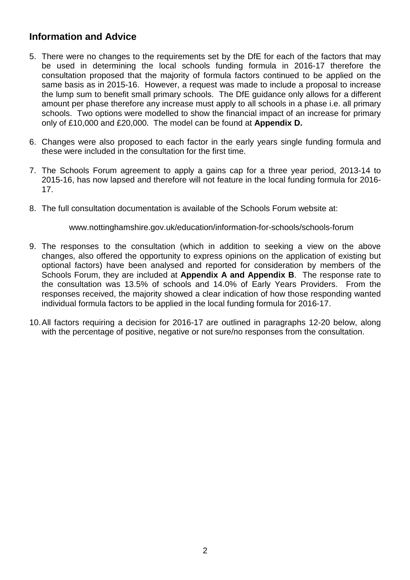# **Information and Advice**

- 5. There were no changes to the requirements set by the DfE for each of the factors that may be used in determining the local schools funding formula in 2016-17 therefore the consultation proposed that the majority of formula factors continued to be applied on the same basis as in 2015-16. However, a request was made to include a proposal to increase the lump sum to benefit small primary schools. The DfE guidance only allows for a different amount per phase therefore any increase must apply to all schools in a phase i.e. all primary schools. Two options were modelled to show the financial impact of an increase for primary only of £10,000 and £20,000. The model can be found at **Appendix D.**
- 6. Changes were also proposed to each factor in the early years single funding formula and these were included in the consultation for the first time.
- 7. The Schools Forum agreement to apply a gains cap for a three year period, 2013-14 to 2015-16, has now lapsed and therefore will not feature in the local funding formula for 2016- 17.
- 8. The full consultation documentation is available of the Schools Forum website at:

www.nottinghamshire.gov.uk/education/information-for-schools/schools-forum

- 9. The responses to the consultation (which in addition to seeking a view on the above changes, also offered the opportunity to express opinions on the application of existing but optional factors) have been analysed and reported for consideration by members of the Schools Forum, they are included at **Appendix A and Appendix B**. The response rate to the consultation was 13.5% of schools and 14.0% of Early Years Providers. From the responses received, the majority showed a clear indication of how those responding wanted individual formula factors to be applied in the local funding formula for 2016-17.
- 10. All factors requiring a decision for 2016-17 are outlined in paragraphs 12-20 below, along with the percentage of positive, negative or not sure/no responses from the consultation.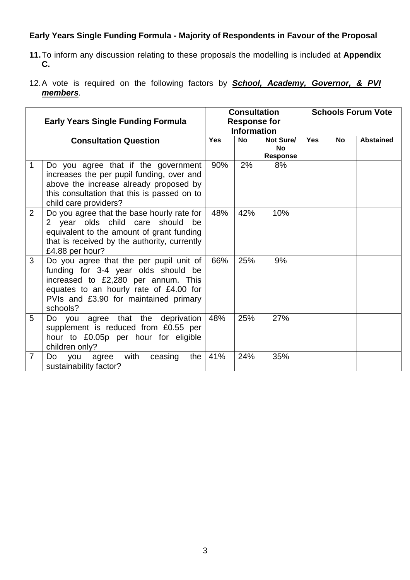# **Early Years Single Funding Formula - Majority of Respondents in Favour of the Proposal**

- **11.** To inform any discussion relating to these proposals the modelling is included at **Appendix C.**
- 12. A vote is required on the following factors by **School, Academy, Governor, & PVI members**.

|                | <b>Early Years Single Funding Formula</b>                                                                                                                                                                            | <b>Consultation</b><br><b>Response for</b><br><b>Information</b> |           |                                           |            |           | <b>Schools Forum Vote</b> |
|----------------|----------------------------------------------------------------------------------------------------------------------------------------------------------------------------------------------------------------------|------------------------------------------------------------------|-----------|-------------------------------------------|------------|-----------|---------------------------|
|                | <b>Consultation Question</b>                                                                                                                                                                                         | <b>Yes</b>                                                       | <b>No</b> | Not Sure/<br><b>No</b><br><b>Response</b> | <b>Yes</b> | <b>No</b> | <b>Abstained</b>          |
| 1              | Do you agree that if the government<br>increases the per pupil funding, over and<br>above the increase already proposed by<br>this consultation that this is passed on to<br>child care providers?                   | 90%                                                              | 2%        | 8%                                        |            |           |                           |
| $\overline{2}$ | Do you agree that the base hourly rate for<br>2 year olds child care should be<br>equivalent to the amount of grant funding<br>that is received by the authority, currently<br>£4.88 per hour?                       | 48%                                                              | 42%       | 10%                                       |            |           |                           |
| 3              | Do you agree that the per pupil unit of<br>funding for 3-4 year olds should be<br>increased to £2,280 per annum. This<br>equates to an hourly rate of £4.00 for<br>PVIs and £3.90 for maintained primary<br>schools? | 66%                                                              | 25%       | 9%                                        |            |           |                           |
| 5              | Do you agree that the deprivation<br>supplement is reduced from £0.55 per<br>hour to £0.05p per hour for eligible<br>children only?                                                                                  | 48%                                                              | 25%       | 27%                                       |            |           |                           |
| 7              | with<br>ceasing<br>Do<br>you<br>the<br>agree<br>sustainability factor?                                                                                                                                               | 41%                                                              | 24%       | 35%                                       |            |           |                           |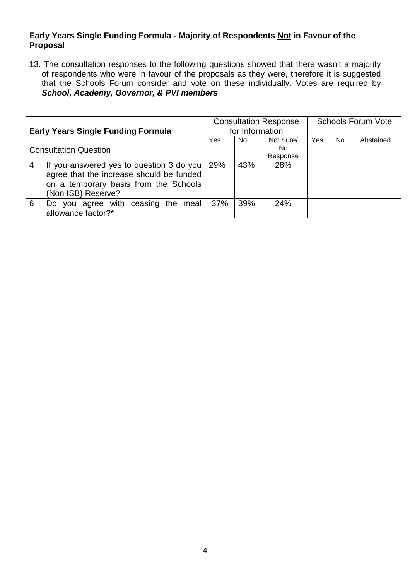### **Early Years Single Funding Formula - Majority of Respondents Not in Favour of the Proposal**

13. The consultation responses to the following questions showed that there wasn't a majority of respondents who were in favour of the proposals as they were, therefore it is suggested that the Schools Forum consider and vote on these individually. Votes are required by **School, Academy, Governor, & PVI members**.

| <b>Early Years Single Funding Formula</b> |                                                                                                                               | <b>Consultation Response</b><br>for Information |          |           | <b>Schools Forum Vote</b> |     |           |
|-------------------------------------------|-------------------------------------------------------------------------------------------------------------------------------|-------------------------------------------------|----------|-----------|---------------------------|-----|-----------|
|                                           |                                                                                                                               |                                                 | No.      | Not Sure/ | Yes                       | No. | Abstained |
| <b>Consultation Question</b>              |                                                                                                                               |                                                 |          | No.       |                           |     |           |
|                                           |                                                                                                                               |                                                 | Response |           |                           |     |           |
|                                           | If you answered yes to question 3 do you<br>agree that the increase should be funded<br>on a temporary basis from the Schools | 29%                                             | 43%      | 28%       |                           |     |           |
|                                           | (Non ISB) Reserve?                                                                                                            |                                                 |          |           |                           |     |           |
| 6                                         | Do you agree with ceasing the meal<br>allowance factor?*                                                                      | 37%                                             | 39%      | 24%       |                           |     |           |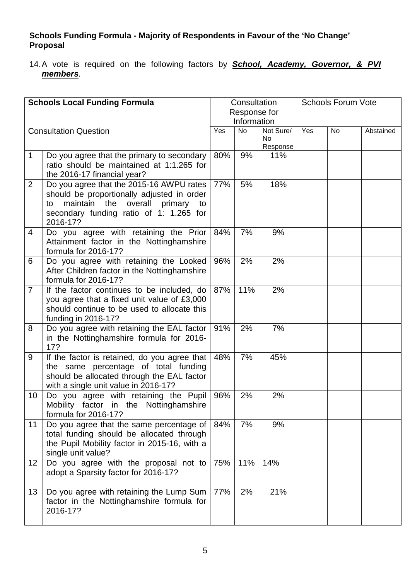## **Schools Funding Formula - Majority of Respondents in Favour of the 'No Change' Proposal**

14. A vote is required on the following factors by **School, Academy, Governor, & PVI members**.

| <b>Schools Local Funding Formula</b> |                                                                                                                                                                                                    |     | Consultation<br>Response for |                                    | <b>Schools Forum Vote</b> |    |           |
|--------------------------------------|----------------------------------------------------------------------------------------------------------------------------------------------------------------------------------------------------|-----|------------------------------|------------------------------------|---------------------------|----|-----------|
|                                      |                                                                                                                                                                                                    |     | Information                  |                                    |                           |    |           |
|                                      | Yes<br><b>Consultation Question</b>                                                                                                                                                                |     | <b>No</b>                    | Not Sure/<br><b>No</b><br>Response | Yes                       | No | Abstained |
| $\mathbf{1}$                         | Do you agree that the primary to secondary<br>ratio should be maintained at 1:1.265 for<br>the 2016-17 financial year?                                                                             | 80% | 9%                           | 11%                                |                           |    |           |
| $\overline{2}$                       | Do you agree that the 2015-16 AWPU rates<br>should be proportionally adjusted in order<br>maintain<br>the<br>overall<br>primary<br>to<br>to<br>secondary funding ratio of 1: 1.265 for<br>2016-17? | 77% | 5%                           | 18%                                |                           |    |           |
| 4                                    | Do you agree with retaining the Prior<br>Attainment factor in the Nottinghamshire<br>formula for 2016-17?                                                                                          | 84% | 7%                           | 9%                                 |                           |    |           |
| 6                                    | Do you agree with retaining the Looked<br>After Children factor in the Nottinghamshire<br>formula for 2016-17?                                                                                     | 96% | 2%                           | 2%                                 |                           |    |           |
| $\overline{7}$                       | If the factor continues to be included, do<br>you agree that a fixed unit value of £3,000<br>should continue to be used to allocate this<br>funding in 2016-17?                                    | 87% | 11%                          | 2%                                 |                           |    |           |
| 8                                    | Do you agree with retaining the EAL factor<br>in the Nottinghamshire formula for 2016-<br>17?                                                                                                      | 91% | 2%                           | 7%                                 |                           |    |           |
| 9                                    | If the factor is retained, do you agree that<br>the same percentage of total funding<br>should be allocated through the EAL factor<br>with a single unit value in 2016-17?                         | 48% | 7%                           | 45%                                |                           |    |           |
| 10                                   | Do you agree with retaining the Pupil<br>Mobility factor in the Nottinghamshire<br>formula for 2016-17?                                                                                            | 96% | 2%                           | 2%                                 |                           |    |           |
| 11                                   | Do you agree that the same percentage of<br>total funding should be allocated through<br>the Pupil Mobility factor in 2015-16, with a<br>single unit value?                                        | 84% | 7%                           | 9%                                 |                           |    |           |
| 12                                   | Do you agree with the proposal not to<br>adopt a Sparsity factor for 2016-17?                                                                                                                      | 75% | 11%                          | 14%                                |                           |    |           |
| 13                                   | Do you agree with retaining the Lump Sum<br>factor in the Nottinghamshire formula for<br>2016-17?                                                                                                  | 77% | 2%                           | 21%                                |                           |    |           |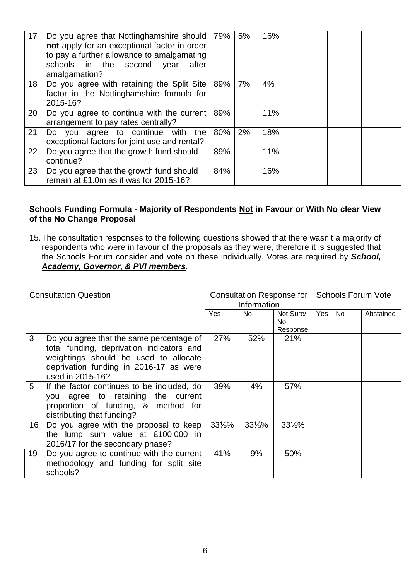| 17 | Do you agree that Nottinghamshire should   79%<br>not apply for an exceptional factor in order<br>to pay a further allowance to amalgamating<br>schools in the second year<br>after<br>amalgamation? |     | 5% | 16% |  |
|----|------------------------------------------------------------------------------------------------------------------------------------------------------------------------------------------------------|-----|----|-----|--|
| 18 | Do you agree with retaining the Split Site   89%<br>factor in the Nottinghamshire formula for<br>2015-16?                                                                                            |     | 7% | 4%  |  |
| 20 | Do you agree to continue with the current<br>arrangement to pay rates centrally?                                                                                                                     | 89% |    | 11% |  |
| 21 | Do you agree to continue<br>with<br>the<br>exceptional factors for joint use and rental?                                                                                                             | 80% | 2% | 18% |  |
| 22 | Do you agree that the growth fund should<br>continue?                                                                                                                                                | 89% |    | 11% |  |
| 23 | Do you agree that the growth fund should<br>remain at £1.0m as it was for 2015-16?                                                                                                                   | 84% |    | 16% |  |

#### Schools Funding Formula - Majority of Respondents **Not in Favour or With No clear View of the No Change Proposal**

15. The consultation responses to the following questions showed that there wasn't a majority of respondents who were in favour of the proposals as they were, therefore it is suggested that the Schools Forum consider and vote on these individually. Votes are required by **School, Academy, Governor, & PVI members**.

| <b>Consultation Question</b><br>Yes |                                                                                                                                                                                              |                   | <b>Consultation Response for</b><br>Information |                                    |     |           | <b>Schools Forum Vote</b> |  |  |  |
|-------------------------------------|----------------------------------------------------------------------------------------------------------------------------------------------------------------------------------------------|-------------------|-------------------------------------------------|------------------------------------|-----|-----------|---------------------------|--|--|--|
|                                     |                                                                                                                                                                                              |                   | No                                              | Not Sure/<br><b>No</b><br>Response | Yes | <b>No</b> | Abstained                 |  |  |  |
| 3                                   | Do you agree that the same percentage of<br>total funding, deprivation indicators and<br>weightings should be used to allocate<br>deprivation funding in 2016-17 as were<br>used in 2015-16? | 27%               | 52%                                             | 21%                                |     |           |                           |  |  |  |
| 5                                   | If the factor continues to be included, do<br>you agree to retaining the current<br>proportion of funding, & method for<br>distributing that funding?                                        | 39%               | 4%                                              | 57%                                |     |           |                           |  |  |  |
| 16                                  | Do you agree with the proposal to keep<br>the lump sum value at £100,000 in<br>2016/17 for the secondary phase?                                                                              | $33\frac{1}{3}\%$ | $33\frac{1}{3}\%$                               | $33\frac{1}{3}\%$                  |     |           |                           |  |  |  |
| 19                                  | Do you agree to continue with the current<br>methodology and funding for split site<br>schools?                                                                                              | 41%               | 9%                                              | 50%                                |     |           |                           |  |  |  |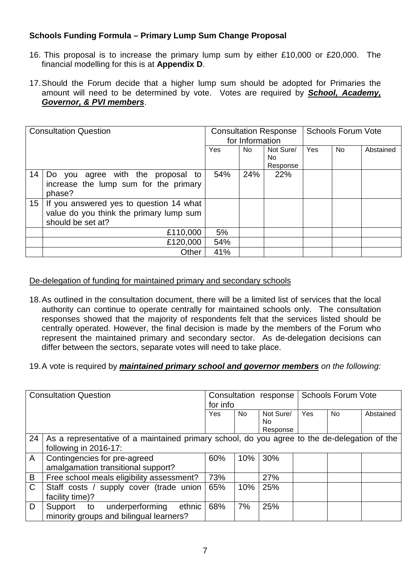## **Schools Funding Formula – Primary Lump Sum Change Proposal**

- 16. This proposal is to increase the primary lump sum by either £10,000 or £20,000. The financial modelling for this is at **Appendix D**.
- 17. Should the Forum decide that a higher lump sum should be adopted for Primaries the amount will need to be determined by vote. Votes are required by **School, Academy, Governor, & PVI members**.

| <b>Consultation Question</b> |                                                                                                         | <b>Consultation Response</b><br>for Information |     |                              | <b>Schools Forum Vote</b> |           |           |
|------------------------------|---------------------------------------------------------------------------------------------------------|-------------------------------------------------|-----|------------------------------|---------------------------|-----------|-----------|
|                              |                                                                                                         | <b>Yes</b>                                      | No. | Not Sure/<br>No.<br>Response | Yes                       | <b>No</b> | Abstained |
| 14                           | Do you agree with the proposal to<br>increase the lump sum for the primary<br>phase?                    | 54%                                             | 24% | 22%                          |                           |           |           |
| 15 <sup>1</sup>              | If you answered yes to question 14 what<br>value do you think the primary lump sum<br>should be set at? |                                                 |     |                              |                           |           |           |
|                              | £110,000                                                                                                | 5%                                              |     |                              |                           |           |           |
|                              | £120,000                                                                                                | 54%                                             |     |                              |                           |           |           |
|                              | Other                                                                                                   | 41%                                             |     |                              |                           |           |           |

### De-delegation of funding for maintained primary and secondary schools

- 18. As outlined in the consultation document, there will be a limited list of services that the local authority can continue to operate centrally for maintained schools only. The consultation responses showed that the majority of respondents felt that the services listed should be centrally operated. However, the final decision is made by the members of the Forum who represent the maintained primary and secondary sector. As de-delegation decisions can differ between the sectors, separate votes will need to take place.
- 19. A vote is required by **maintained primary school and governor members** on the following:

| <b>Consultation Question</b>              |                                                                         | for info |                  | <b>Schools Forum Vote</b>         |     |                                                                                              |
|-------------------------------------------|-------------------------------------------------------------------------|----------|------------------|-----------------------------------|-----|----------------------------------------------------------------------------------------------|
|                                           | Yes                                                                     | No.      | Not Sure/<br>No. | Yes                               | No. | Abstained                                                                                    |
|                                           |                                                                         |          |                  |                                   |     |                                                                                              |
|                                           |                                                                         |          |                  |                                   |     |                                                                                              |
| following in 2016-17:                     |                                                                         |          |                  |                                   |     |                                                                                              |
|                                           | 60%                                                                     | 10%      | 30%              |                                   |     |                                                                                              |
| amalgamation transitional support?        |                                                                         |          |                  |                                   |     |                                                                                              |
| Free school meals eligibility assessment? | 73%                                                                     |          | 27%              |                                   |     |                                                                                              |
|                                           | 65%                                                                     | 10%      | 25%              |                                   |     |                                                                                              |
| facility time)?                           |                                                                         |          |                  |                                   |     |                                                                                              |
| ethnic<br>underperforming<br>Support to   | 68%                                                                     | 7%       | 25%              |                                   |     |                                                                                              |
| minority groups and bilingual learners?   |                                                                         |          |                  |                                   |     |                                                                                              |
|                                           | Contingencies for pre-agreed<br>Staff costs / supply cover (trade union |          |                  | Consultation response<br>Response |     | As a representative of a maintained primary school, do you agree to the de-delegation of the |